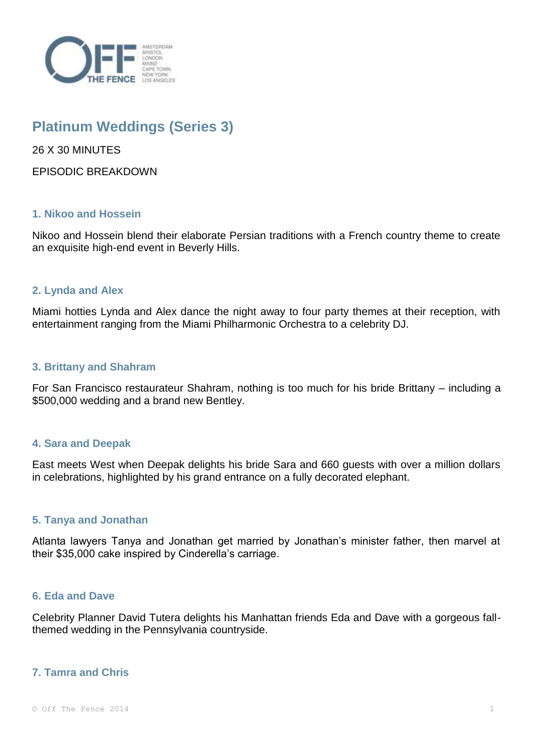

# **Platinum Weddings (Series 3)**

26 X 30 MINUTES

EPISODIC BREAKDOWN

## **1. Nikoo and Hossein**

Nikoo and Hossein blend their elaborate Persian traditions with a French country theme to create an exquisite high-end event in Beverly Hills.

## **2. Lynda and Alex**

Miami hotties Lynda and Alex dance the night away to four party themes at their reception, with entertainment ranging from the Miami Philharmonic Orchestra to a celebrity DJ.

## **3. Brittany and Shahram**

For San Francisco restaurateur Shahram, nothing is too much for his bride Brittany – including a \$500,000 wedding and a brand new Bentley.

## **4. Sara and Deepak**

East meets West when Deepak delights his bride Sara and 660 guests with over a million dollars in celebrations, highlighted by his grand entrance on a fully decorated elephant.

## **5. Tanya and Jonathan**

Atlanta lawyers Tanya and Jonathan get married by Jonathan's minister father, then marvel at their \$35,000 cake inspired by Cinderella's carriage.

## **6. Eda and Dave**

Celebrity Planner David Tutera delights his Manhattan friends Eda and Dave with a gorgeous fallthemed wedding in the Pennsylvania countryside.

# **7. Tamra and Chris**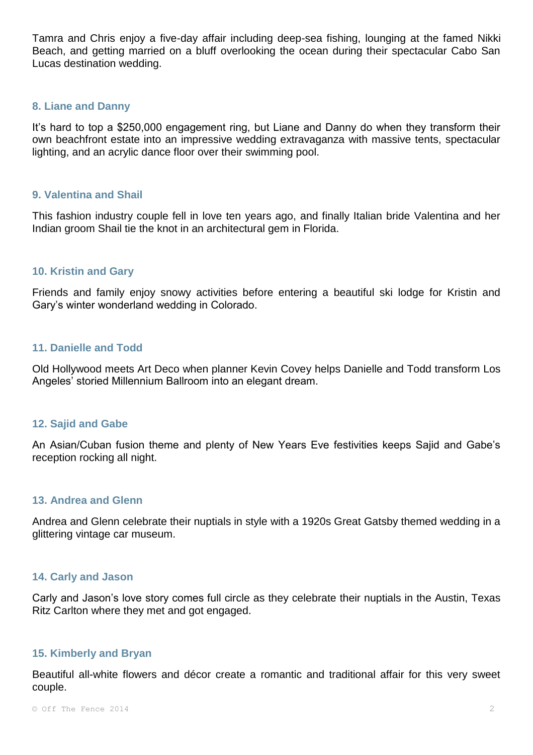Tamra and Chris enjoy a five-day affair including deep-sea fishing, lounging at the famed Nikki Beach, and getting married on a bluff overlooking the ocean during their spectacular Cabo San Lucas destination wedding.

## **8. Liane and Danny**

It's hard to top a \$250,000 engagement ring, but Liane and Danny do when they transform their own beachfront estate into an impressive wedding extravaganza with massive tents, spectacular lighting, and an acrylic dance floor over their swimming pool.

## **9. Valentina and Shail**

This fashion industry couple fell in love ten years ago, and finally Italian bride Valentina and her Indian groom Shail tie the knot in an architectural gem in Florida.

# **10. Kristin and Gary**

Friends and family enjoy snowy activities before entering a beautiful ski lodge for Kristin and Gary's winter wonderland wedding in Colorado.

## **11. Danielle and Todd**

Old Hollywood meets Art Deco when planner Kevin Covey helps Danielle and Todd transform Los Angeles' storied Millennium Ballroom into an elegant dream.

#### **12. Sajid and Gabe**

An Asian/Cuban fusion theme and plenty of New Years Eve festivities keeps Sajid and Gabe's reception rocking all night.

#### **13. Andrea and Glenn**

Andrea and Glenn celebrate their nuptials in style with a 1920s Great Gatsby themed wedding in a glittering vintage car museum.

#### **14. Carly and Jason**

Carly and Jason's love story comes full circle as they celebrate their nuptials in the Austin, Texas Ritz Carlton where they met and got engaged.

#### **15. Kimberly and Bryan**

Beautiful all-white flowers and décor create a romantic and traditional affair for this very sweet couple.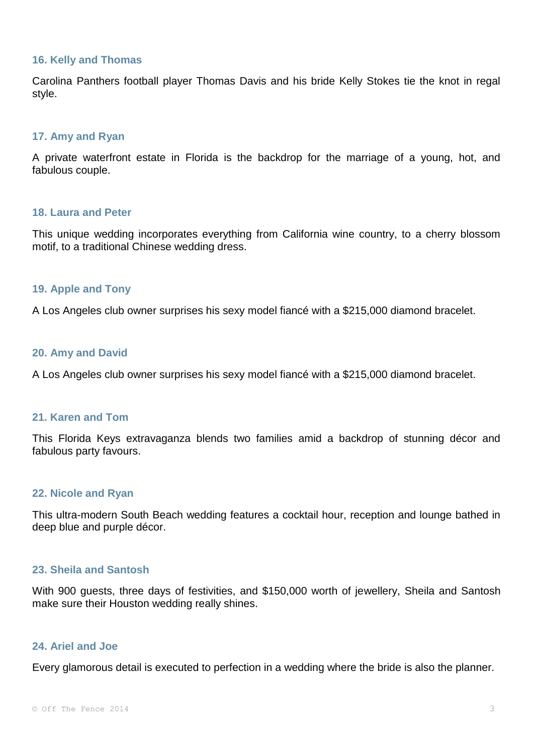#### **16. Kelly and Thomas**

Carolina Panthers football player Thomas Davis and his bride Kelly Stokes tie the knot in regal style.

## **17. Amy and Ryan**

A private waterfront estate in Florida is the backdrop for the marriage of a young, hot, and fabulous couple.

#### **18. Laura and Peter**

This unique wedding incorporates everything from California wine country, to a cherry blossom motif, to a traditional Chinese wedding dress.

## **19. Apple and Tony**

A Los Angeles club owner surprises his sexy model fiancé with a \$215,000 diamond bracelet.

#### **20. Amy and David**

A Los Angeles club owner surprises his sexy model fiancé with a \$215,000 diamond bracelet.

## **21. Karen and Tom**

This Florida Keys extravaganza blends two families amid a backdrop of stunning décor and fabulous party favours.

#### **22. Nicole and Ryan**

This ultra-modern South Beach wedding features a cocktail hour, reception and lounge bathed in deep blue and purple décor.

#### **23. Sheila and Santosh**

With 900 guests, three days of festivities, and \$150,000 worth of jewellery, Sheila and Santosh make sure their Houston wedding really shines.

#### **24. Ariel and Joe**

Every glamorous detail is executed to perfection in a wedding where the bride is also the planner.